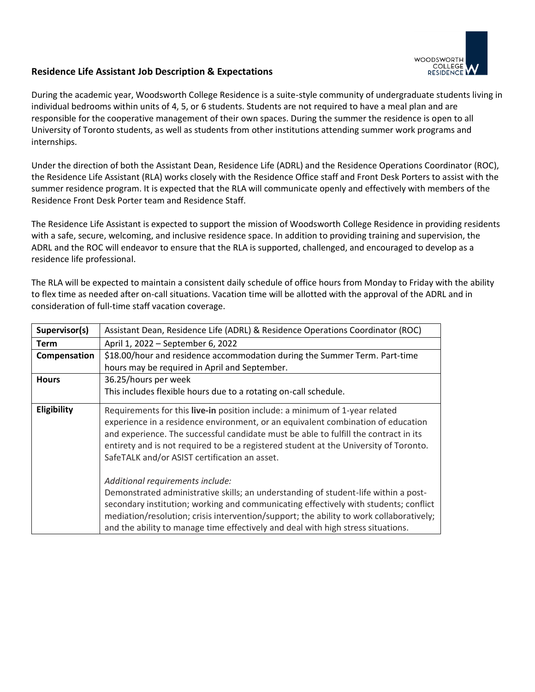

# **Residence Life Assistant Job Description & Expectations**

During the academic year, Woodsworth College Residence is a suite-style community of undergraduate students living in individual bedrooms within units of 4, 5, or 6 students. Students are not required to have a meal plan and are responsible for the cooperative management of their own spaces. During the summer the residence is open to all University of Toronto students, as well as students from other institutions attending summer work programs and internships.

Under the direction of both the Assistant Dean, Residence Life (ADRL) and the Residence Operations Coordinator (ROC), the Residence Life Assistant (RLA) works closely with the Residence Office staff and Front Desk Porters to assist with the summer residence program. It is expected that the RLA will communicate openly and effectively with members of the Residence Front Desk Porter team and Residence Staff.

The Residence Life Assistant is expected to support the mission of Woodsworth College Residence in providing residents with a safe, secure, welcoming, and inclusive residence space. In addition to providing training and supervision, the ADRL and the ROC will endeavor to ensure that the RLA is supported, challenged, and encouraged to develop as a residence life professional.

The RLA will be expected to maintain a consistent daily schedule of office hours from Monday to Friday with the ability to flex time as needed after on-call situations. Vacation time will be allotted with the approval of the ADRL and in consideration of full-time staff vacation coverage.

| Supervisor(s) | Assistant Dean, Residence Life (ADRL) & Residence Operations Coordinator (ROC)                                                                                                                                                                                                                                                                                                                                                                                                                                                                                                                                       |
|---------------|----------------------------------------------------------------------------------------------------------------------------------------------------------------------------------------------------------------------------------------------------------------------------------------------------------------------------------------------------------------------------------------------------------------------------------------------------------------------------------------------------------------------------------------------------------------------------------------------------------------------|
| <b>Term</b>   | April 1, 2022 - September 6, 2022                                                                                                                                                                                                                                                                                                                                                                                                                                                                                                                                                                                    |
| Compensation  | \$18.00/hour and residence accommodation during the Summer Term. Part-time                                                                                                                                                                                                                                                                                                                                                                                                                                                                                                                                           |
|               | hours may be required in April and September.                                                                                                                                                                                                                                                                                                                                                                                                                                                                                                                                                                        |
| <b>Hours</b>  | 36.25/hours per week                                                                                                                                                                                                                                                                                                                                                                                                                                                                                                                                                                                                 |
|               | This includes flexible hours due to a rotating on-call schedule.                                                                                                                                                                                                                                                                                                                                                                                                                                                                                                                                                     |
| Eligibility   | Requirements for this live-in position include: a minimum of 1-year related<br>experience in a residence environment, or an equivalent combination of education<br>and experience. The successful candidate must be able to fulfill the contract in its<br>entirety and is not required to be a registered student at the University of Toronto.<br>SafeTALK and/or ASIST certification an asset.<br>Additional requirements include:<br>Demonstrated administrative skills; an understanding of student-life within a post-<br>secondary institution; working and communicating effectively with students; conflict |
|               | mediation/resolution; crisis intervention/support; the ability to work collaboratively;<br>and the ability to manage time effectively and deal with high stress situations.                                                                                                                                                                                                                                                                                                                                                                                                                                          |